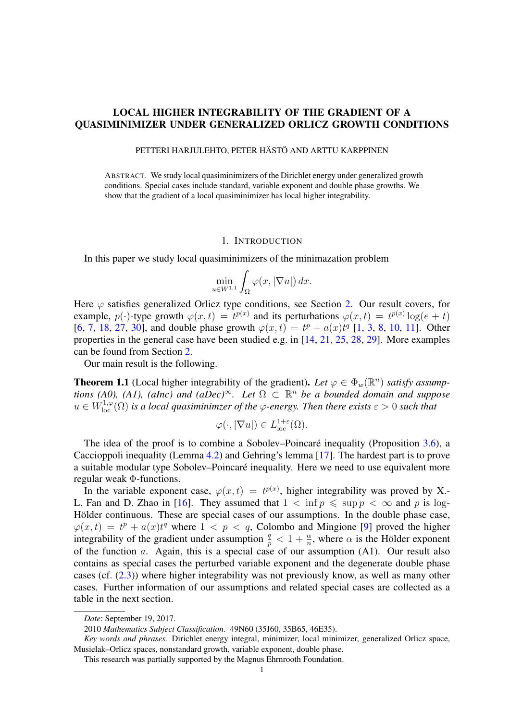# LOCAL HIGHER INTEGRABILITY OF THE GRADIENT OF A QUASIMINIMIZER UNDER GENERALIZED ORLICZ GROWTH CONDITIONS

PETTERI HARJULEHTO, PETER HÄSTÖ AND ARTTU KARPPINEN

ABSTRACT. We study local quasiminimizers of the Dirichlet energy under generalized growth conditions. Special cases include standard, variable exponent and double phase growths. We show that the gradient of a local quasiminimizer has local higher integrability.

## 1. INTRODUCTION

In this paper we study local quasiminimizers of the minimazation problem

$$
\min_{u \in W^{1,1}} \int_{\Omega} \varphi(x, |\nabla u|) \, dx.
$$

Here  $\varphi$  satisfies generalized Orlicz type conditions, see Section [2.](#page-1-0) Our result covers, for example,  $p(\cdot)$ -type growth  $\varphi(x,t) = t^{p(x)}$  and its perturbations  $\varphi(x,t) = t^{p(x)} \log(e+t)$ [\[6,](#page-9-0) [7,](#page-9-1) [18,](#page-9-2) [27,](#page-9-3) [30\]](#page-9-4), and double phase growth  $\varphi(x,t) = t^p + a(x)t^q$  [\[1,](#page-8-0) [3,](#page-8-1) [8,](#page-9-5) [10,](#page-9-6) [11\]](#page-9-7). Other properties in the general case have been studied e.g. in [\[14,](#page-9-8) [21,](#page-9-9) [25,](#page-9-10) [28,](#page-9-11) [29\]](#page-9-12). More examples can be found from Section [2.](#page-1-0)

Our main result is the following.

<span id="page-0-0"></span>**Theorem 1.1** (Local higher integrability of the gradient). Let  $\varphi \in \Phi_w(\mathbb{R}^n)$  *satisfy assumptions (A0), (A1), (aInc) and (aDec)* $\infty$ *. Let*  $\Omega \subset \mathbb{R}^n$  *be a bounded domain and suppose*  $u \in W^{1,\varphi}_{loc}(\Omega)$  is a local quasiminimzer of the  $\varphi$ -energy. Then there exists  $\varepsilon > 0$  such that

$$
\varphi(\cdot, |\nabla u|) \in L^{1+\varepsilon}_{\text{loc}}(\Omega).
$$

The idea of the proof is to combine a Sobolev–Poincaré inequality (Proposition [3.6\)](#page-5-0), a Caccioppoli inequality (Lemma [4.2\)](#page-7-0) and Gehring's lemma [\[17\]](#page-9-13). The hardest part is to prove a suitable modular type Sobolev–Poincaré inequality. Here we need to use equivalent more regular weak Φ-functions.

In the variable exponent case,  $\varphi(x,t) = t^{p(x)}$ , higher integrability was proved by X. L. Fan and D. Zhao in [\[16\]](#page-9-14). They assumed that  $1 < \inf p \leq \sup p < \infty$  and p is log-Hölder continuous. These are special cases of our assumptions. In the double phase case,  $\varphi(x,t) = t^p + a(x)t^q$  where  $1 < p < q$ , Colombo and Mingione [\[9\]](#page-9-15) proved the higher integrability of the gradient under assumption  $\frac{q}{p} < 1 + \frac{\alpha}{n}$ , where  $\alpha$  is the Hölder exponent of the function  $a$ . Again, this is a special case of our assumption (A1). Our result also contains as special cases the perturbed variable exponent and the degenerate double phase cases (cf. [\(2.3\)](#page-2-0)) where higher integrability was not previously know, as well as many other cases. Further information of our assumptions and related special cases are collected as a table in the next section.

*Date*: September 19, 2017.

<sup>2010</sup> *Mathematics Subject Classification.* 49N60 (35J60, 35B65, 46E35).

*Key words and phrases.* Dirichlet energy integral, minimizer, local minimizer, generalized Orlicz space, Musielak–Orlicz spaces, nonstandard growth, variable exponent, double phase.

This research was partially supported by the Magnus Ehrnrooth Foundation.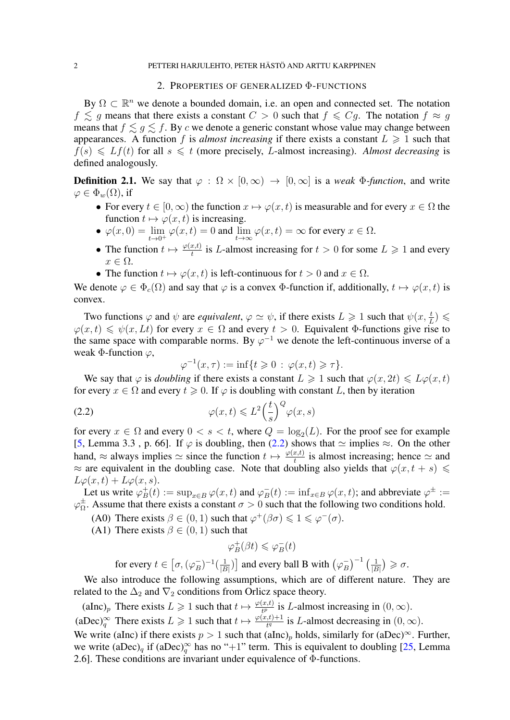### 2. PROPERTIES OF GENERALIZED Φ-FUNCTIONS

<span id="page-1-0"></span>By  $\Omega \subset \mathbb{R}^n$  we denote a bounded domain, i.e. an open and connected set. The notation  $f \lesssim g$  means that there exists a constant  $C > 0$  such that  $f \leq Cg$ . The notation  $f \approx g$ means that  $f \lesssim g \lesssim f$ . By c we denote a generic constant whose value may change between appearances. A function f is *almost increasing* if there exists a constant  $L \geq 1$  such that  $f(s) \leqslant Lf(t)$  for all  $s \leqslant t$  (more precisely, L-almost increasing). *Almost decreasing* is defined analogously.

**Definition 2.1.** We say that  $\varphi : \Omega \times [0, \infty) \to [0, \infty]$  is a *weak*  $\Phi$ -function, and write  $\varphi \in \Phi_w(\Omega)$ , if

- For every  $t \in [0, \infty)$  the function  $x \mapsto \varphi(x, t)$  is measurable and for every  $x \in \Omega$  the function  $t \mapsto \varphi(x, t)$  is increasing.
- $\varphi(x,0) = \lim_{t \to 0^+} \varphi(x,t) = 0$  and  $\lim_{t \to \infty} \varphi(x,t) = \infty$  for every  $x \in \Omega$ .
- The function  $t \mapsto \frac{\varphi(x,t)}{t}$  is L-almost increasing for  $t > 0$  for some  $L \ge 1$  and every  $x \in \Omega$ .
- The function  $t \mapsto \varphi(x, t)$  is left-continuous for  $t > 0$  and  $x \in \Omega$ .

We denote  $\varphi \in \Phi_c(\Omega)$  and say that  $\varphi$  is a convex  $\Phi$ -function if, additionally,  $t \mapsto \varphi(x, t)$  is convex.

Two functions  $\varphi$  and  $\psi$  are *equivalent*,  $\varphi \simeq \psi$ , if there exists  $L \geq 1$  such that  $\psi(x, \frac{t}{L}) \leq$  $\varphi(x, t) \leq \psi(x, Lt)$  for every  $x \in \Omega$  and every  $t > 0$ . Equivalent Φ-functions give rise to the same space with comparable norms. By  $\varphi^{-1}$  we denote the left-continuous inverse of a weak  $\Phi$ -function  $\varphi$ ,

<span id="page-1-1"></span>
$$
\varphi^{-1}(x,\tau) := \inf\{t \geq 0 \,:\, \varphi(x,t) \geq \tau\}.
$$

We say that  $\varphi$  is *doubling* if there exists a constant  $L \geq 1$  such that  $\varphi(x, 2t) \leq L\varphi(x, t)$ for every  $x \in \Omega$  and every  $t \geq 0$ . If  $\varphi$  is doubling with constant L, then by iteration

(2.2) 
$$
\varphi(x,t) \leqslant L^2 \left(\frac{t}{s}\right)^Q \varphi(x,s)
$$

for every  $x \in \Omega$  and every  $0 < s < t$ , where  $Q = \log_2(L)$ . For the proof see for example [\[5,](#page-9-16) Lemma 3.3, p. 66]. If  $\varphi$  is doubling, then [\(2.2\)](#page-1-1) shows that  $\simeq$  implies  $\approx$ . On the other hand,  $\approx$  always implies  $\approx$  since the function  $t \mapsto \frac{\varphi(x,t)}{t}$  is almost increasing; hence  $\approx$  and  $\approx$  are equivalent in the doubling case. Note that doubling also yields that  $\varphi(x, t + s) \leq$  $L\varphi(x,t) + L\varphi(x,s).$ 

Let us write  $\varphi_B^+$  $_B^+(t) := \sup_{x \in B} \varphi(x, t)$  and  $\varphi_B^ \overline{B}_B(t) := \inf_{x \in B} \varphi(x, t);$  and abbreviate  $\varphi^{\pm} :=$  $\varphi_{\Omega}^{\pm}$  $\frac{1}{\Omega}$ . Assume that there exists a constant  $\sigma > 0$  such that the following two conditions hold.

- (A0) There exists  $\beta \in (0, 1)$  such that  $\varphi^+(\beta \sigma) \leq 1 \leq \varphi^-(\sigma)$ .
- (A1) There exists  $\beta \in (0, 1)$  such that

$$
\varphi_B^+(\beta t)\leqslant \varphi_B^-(t)
$$

for every  $t \in [\sigma, (\varphi_B^-)]$  $(\frac{1}{|B|})^{-1}(\frac{1}{|B|})$  $\frac{1}{|B|}$ ) and every ball B with  $(\varphi_B^-)$  $\left(\frac{1}{|E|}\right)^{-1}\left(\frac{1}{|E|}\right)$  $\frac{1}{|B|}\big)\geqslant \sigma.$ 

We also introduce the following assumptions, which are of different nature. They are related to the  $\Delta_2$  and  $\nabla_2$  conditions from Orlicz space theory.

(aInc)<sub>p</sub> There exists  $L \geq 1$  such that  $t \mapsto \frac{\varphi(x,t)}{t^p}$  is L-almost increasing in  $(0,\infty)$ . (aDec)<sup>∞</sup> There exists  $L \ge 1$  such that  $t \mapsto \frac{\varphi(x,t)+1}{t^q}$  is L-almost decreasing in  $(0,\infty)$ . We write (aInc) if there exists  $p > 1$  such that (aInc)<sub>p</sub> holds, similarly for (aDec)<sup>∞</sup>. Further, we write  $(aDec)_q$  if  $(aDec)_q^{\infty}$  has no "+1" term. This is equivalent to doubling [\[25,](#page-9-10) Lemma 2.6]. These conditions are invariant under equivalence of Φ-functions.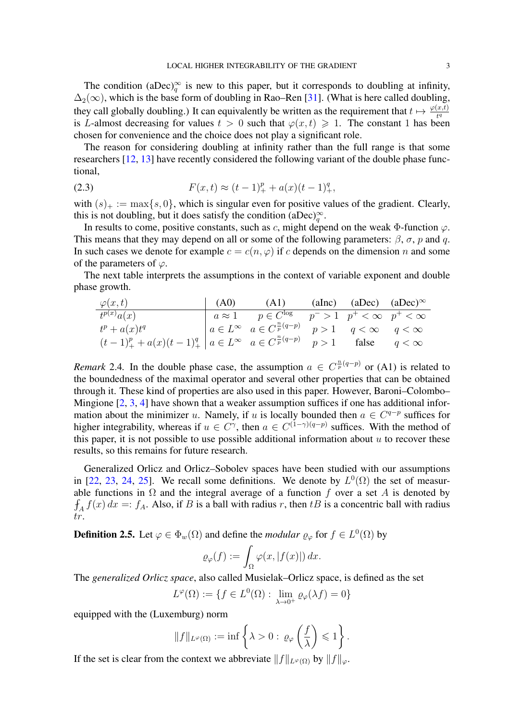The condition (aDec)<sup>∞</sup> is new to this paper, but it corresponds to doubling at infinity,  $\Delta_2(\infty)$ , which is the base form of doubling in Rao–Ren [\[31\]](#page-9-17). (What is here called doubling, they call globally doubling.) It can equivalently be written as the requirement that  $t \mapsto \frac{\varphi(x,t)}{t^q}$ is L-almost decreasing for values  $t > 0$  such that  $\varphi(x, t) \geq 1$ . The constant 1 has been chosen for convenience and the choice does not play a significant role.

The reason for considering doubling at infinity rather than the full range is that some researchers [\[12,](#page-9-18) [13\]](#page-9-19) have recently considered the following variant of the double phase functional,

<span id="page-2-0"></span>(2.3) 
$$
F(x,t) \approx (t-1)_+^p + a(x)(t-1)_+^q,
$$

with  $(s)_+ := \max\{s, 0\}$ , which is singular even for positive values of the gradient. Clearly, this is not doubling, but it does satisfy the condition  $(aDec)_{q}^{\infty}$ .

In results to come, positive constants, such as c, might depend on the weak  $\Phi$ -function  $\varphi$ . This means that they may depend on all or some of the following parameters:  $\beta$ ,  $\sigma$ ,  $p$  and  $q$ . In such cases we denote for example  $c = c(n, \varphi)$  if c depends on the dimension n and some of the parameters of  $\varphi$ .

The next table interprets the assumptions in the context of variable exponent and double phase growth.

| $\varphi(x,t)$                                                                                         | (A0) | (A1)                                                                                                    | (aInc) (aDec) $(aDec)^{\infty}$ |  |
|--------------------------------------------------------------------------------------------------------|------|---------------------------------------------------------------------------------------------------------|---------------------------------|--|
| $t^{p(x)}a(x)$                                                                                         |      | $\overline{a \approx 1 \quad p \in C^{\log}} \quad p^{-} > 1 \quad p^{+} < \infty \quad p^{+} < \infty$ |                                 |  |
| $t^p + a(x)t^q$                                                                                        |      | $a \in L^{\infty}$ $a \in C^{\frac{n}{p}(q-p)}$ $p > 1$ $q < \infty$ $q < \infty$                       |                                 |  |
| $(t-1)^p_+ + a(x)(t-1)^q_+   a \in L^{\infty}$ $a \in C^{\frac{n}{p}(q-p)}$ $p > 1$ false $q < \infty$ |      |                                                                                                         |                                 |  |

*Remark* 2.4. In the double phase case, the assumption  $a \in C^{\frac{n}{p}(q-p)}$  or (A1) is related to the boundedness of the maximal operator and several other properties that can be obtained through it. These kind of properties are also used in this paper. However, Baroni–Colombo– Mingione [\[2,](#page-8-2) [3,](#page-8-1) [4\]](#page-8-3) have shown that a weaker assumption suffices if one has additional information about the minimizer u. Namely, if u is locally bounded then  $a \in C^{q-p}$  suffices for higher integrability, whereas if  $u \in C^{\gamma}$ , then  $a \in C^{(1-\gamma)(q-p)}$  suffices. With the method of this paper, it is not possible to use possible additional information about  $u$  to recover these results, so this remains for future research.

Generalized Orlicz and Orlicz–Sobolev spaces have been studied with our assumptions in [\[22,](#page-9-20) [23,](#page-9-21) [24,](#page-9-22) [25\]](#page-9-10). We recall some definitions. We denote by  $L^0(\Omega)$  the set of measurable functions in  $\Omega$  and the integral average of a function f over a set A is denoted by  $f_A f(x) dx =: f_A$ . Also, if B is a ball with radius r, then tB is a concentric ball with radius tr.

**Definition 2.5.** Let  $\varphi \in \Phi_w(\Omega)$  and define the *modular*  $\varrho_{\varphi}$  for  $f \in L^0(\Omega)$  by

$$
\varrho_{\varphi}(f) := \int_{\Omega} \varphi(x, |f(x)|) \, dx.
$$

The *generalized Orlicz space*, also called Musielak–Orlicz space, is defined as the set

$$
L^{\varphi}(\Omega) := \{ f \in L^0(\Omega) : \lim_{\lambda \to 0^+} \varrho_{\varphi}(\lambda f) = 0 \}
$$

equipped with the (Luxemburg) norm

$$
||f||_{L^{\varphi}(\Omega)} := \inf \left\{ \lambda > 0 : \varrho_{\varphi} \left( \frac{f}{\lambda} \right) \leq 1 \right\}.
$$

If the set is clear from the context we abbreviate  $||f||_{L^{\varphi}(\Omega)}$  by  $||f||_{\varphi}$ .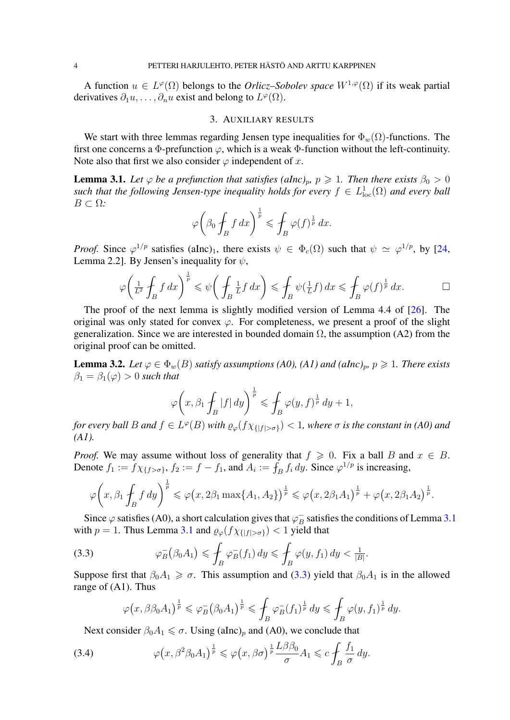A function  $u \in L^{\varphi}(\Omega)$  belongs to the *Orlicz–Sobolev space*  $W^{1,\varphi}(\Omega)$  if its weak partial derivatives  $\partial_1 u, \dots, \partial_n u$  exist and belong to  $L^{\varphi}(\Omega)$ .

## 3. AUXILIARY RESULTS

We start with three lemmas regarding Jensen type inequalities for  $\Phi_w(\Omega)$ -functions. The first one concerns a Φ-prefunction  $\varphi$ , which is a weak Φ-function without the left-continuity. Note also that first we also consider  $\varphi$  independent of x.

<span id="page-3-0"></span>**Lemma 3.1.** Let  $\varphi$  be a prefunction that satisfies (alnc)<sub>p</sub>,  $p \ge 1$ . Then there exists  $\beta_0 > 0$ such that the following Jensen-type inequality holds for every  $f \in L^1_{loc}(\Omega)$  and every ball  $B \subset \Omega$ *:* 

$$
\varphi\bigg(\beta_0\oint_B f\,dx\bigg)^{\frac{1}{p}} \leqslant \oint_B \varphi(f)^{\frac{1}{p}}\,dx.
$$

*Proof.* Since  $\varphi^{1/p}$  satisfies (aInc)<sub>1</sub>, there exists  $\psi \in \Phi_c(\Omega)$  such that  $\psi \simeq \varphi^{1/p}$ , by [\[24,](#page-9-22) Lemma 2.2]. By Jensen's inequality for  $\psi$ ,

$$
\varphi\bigg(\tfrac{1}{L^2}\int_B f\,dx\bigg)^{\frac{1}{p}} \leqslant \psi\bigg(\int_B \tfrac{1}{L} f\,dx\bigg) \leqslant \int_B \psi\big(\tfrac{1}{L} f\big)\,dx \leqslant \int_B \varphi(f)^{\frac{1}{p}}\,dx.
$$

The proof of the next lemma is slightly modified version of Lemma 4.4 of [\[26\]](#page-9-23). The original was only stated for convex  $\varphi$ . For completeness, we present a proof of the slight generalization. Since we are interested in bounded domain  $\Omega$ , the assumption (A2) from the original proof can be omitted.

<span id="page-3-3"></span>**Lemma 3.2.** *Let*  $\varphi \in \Phi_w(B)$  *satisfy assumptions (A0), (A1) and (aInc)<sub>p</sub>,*  $p \ge 1$ *. There exists*  $\beta_1 = \beta_1(\varphi) > 0$  *such that* 

$$
\varphi\bigg(x,\beta_1\oint_B|f|\,dy\bigg)^{\frac{1}{p}}\leqslant\int_B\varphi(y,f)^{\frac{1}{p}}\,dy+1,
$$

*for every ball B and*  $f \in L^{\varphi}(B)$  *with*  $\varrho_{\varphi}(f \chi_{\{|f| > \sigma\}}) < 1$ *, where*  $\sigma$  *is the constant in (A0) and (A1).*

*Proof.* We may assume without loss of generality that  $f \ge 0$ . Fix a ball B and  $x \in B$ . Denote  $f_1 := f \chi_{\{f > \sigma\}}$ ,  $f_2 := f - f_1$ , and  $A_i := f_B f_i dy$ . Since  $\varphi^{1/p}$  is increasing,

$$
\varphi\bigg(x,\beta_1\oint_B f\,dy\bigg)^{\frac{1}{p}} \leqslant \varphi\big(x,2\beta_1\max\{A_1,A_2\}\big)^{\frac{1}{p}} \leqslant \varphi\big(x,2\beta_1A_1\big)^{\frac{1}{p}}+\varphi\big(x,2\beta_1A_2\big)^{\frac{1}{p}}.
$$

Since  $\varphi$  satisfies (A0), a short calculation gives that  $\varphi_B^ \overline{B}_B$  satisfies the conditions of Lemma [3.1](#page-3-0) with  $p = 1$ . Thus Lemma [3.1](#page-3-0) and  $\varrho_{\varphi}(f \chi_{\{|f| > \sigma\}}) < 1$  yield that

(3.3) 
$$
\varphi_B^-(\beta_0 A_1) \leq \int_B \varphi_B^-(f_1) dy \leq \int_B \varphi(y, f_1) dy < \frac{1}{|B|}.
$$

Suppose first that  $\beta_0 A_1 \geq \sigma$ . This assumption and [\(3.3\)](#page-3-1) yield that  $\beta_0 A_1$  is in the allowed range of (A1). Thus

<span id="page-3-2"></span><span id="page-3-1"></span>
$$
\varphi\big(x,\beta\beta_0A_1\big)^{\frac{1}{p}}\leqslant \varphi_B^-\big(\beta_0A_1\big)^{\frac{1}{p}}\leqslant \int_B\varphi_B^-(f_1)^{\frac{1}{p}}\,dy\leqslant \int_B\varphi(y,f_1)^{\frac{1}{p}}\,dy.
$$

Next consider  $\beta_0 A_1 \leq \sigma$ . Using (aInc)<sub>p</sub> and (A0), we conclude that

(3.4) 
$$
\varphi\left(x,\beta^2\beta_0A_1\right)^{\frac{1}{p}} \leqslant \varphi\left(x,\beta\sigma\right)^{\frac{1}{p}} \frac{L\beta\beta_0}{\sigma}A_1 \leqslant c \int_B \frac{f_1}{\sigma} dy.
$$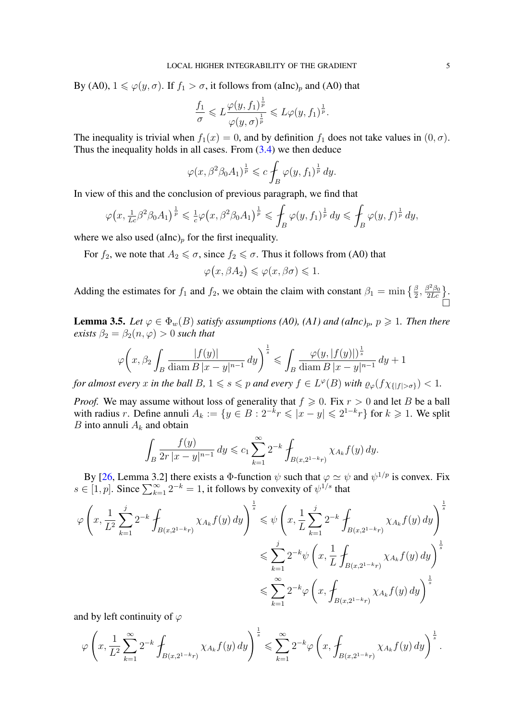By (A0),  $1 \le \varphi(y, \sigma)$ . If  $f_1 > \sigma$ , it follows from (aInc)<sub>p</sub> and (A0) that

$$
\frac{f_1}{\sigma} \leqslant L \frac{\varphi(y, f_1)^{\frac{1}{p}}}{\varphi(y, \sigma)^{\frac{1}{p}}} \leqslant L \varphi(y, f_1)^{\frac{1}{p}}.
$$

The inequality is trivial when  $f_1(x) = 0$ , and by definition  $f_1$  does not take values in  $(0, \sigma)$ . Thus the inequality holds in all cases. From  $(3.4)$  we then deduce

$$
\varphi(x,\beta^2\beta_0A_1)^{\frac{1}{p}} \leqslant c \int_B \varphi(y,f_1)^{\frac{1}{p}} dy.
$$

In view of this and the conclusion of previous paragraph, we find that

$$
\varphi\left(x,\tfrac{1}{Lc}\beta^2\beta_0A_1\right)^{\frac{1}{p}} \leqslant \tfrac{1}{c}\varphi\left(x,\beta^2\beta_0A_1\right)^{\frac{1}{p}} \leqslant \int_B \varphi(y,f_1)^{\frac{1}{p}}\,dy \leqslant \int_B \varphi(y,f)^{\frac{1}{p}}\,dy,
$$

where we also used  $(alnc)<sub>p</sub>$  for the first inequality.

For  $f_2$ , we note that  $A_2 \leq \sigma$ , since  $f_2 \leq \sigma$ . Thus it follows from (A0) that

$$
\varphi(x,\beta A_2) \leqslant \varphi(x,\beta\sigma) \leqslant 1.
$$

Adding the estimates for  $f_1$  and  $f_2$ , we obtain the claim with constant  $\beta_1 = \min\left\{\frac{\beta}{2}, \frac{\beta^2 \beta_0}{2Lc}\right\}$ . 'n

<span id="page-4-0"></span>**Lemma 3.5.** *Let*  $\varphi \in \Phi_w(B)$  *satisfy assumptions (A0), (A1) and (aInc)<sub>p</sub>,*  $p \ge 1$ *. Then there exists*  $\beta_2 = \beta_2(n, \varphi) > 0$  *such that* 

$$
\varphi\bigg(x,\beta_2\int_B\frac{|f(y)|}{\text{diam }B|x-y|^{n-1}}\,dy\bigg)^{\frac{1}{s}}\leqslant\int_B\frac{\varphi(y,|f(y)|)^{\frac{1}{s}}}{\text{diam }B|x-y|^{n-1}}\,dy+1
$$

*for almost every* x *in the ball*  $B, 1 \leqslant s \leqslant p$  *and every*  $f \in L^{\varphi}(B)$  *with*  $\varrho_{\varphi}(f \chi_{\{|f| > \sigma\}}) < 1$ *.* 

*Proof.* We may assume without loss of generality that  $f \ge 0$ . Fix  $r > 0$  and let B be a ball with radius r. Define annuli  $A_k := \{y \in B : 2^{-k}r \leq |x - y| \leq 2^{1-k}r\}$  for  $k \geq 1$ . We split B into annuli  $A_k$  and obtain

$$
\int_{B} \frac{f(y)}{2r|x-y|^{n-1}} dy \leqslant c_1 \sum_{k=1}^{\infty} 2^{-k} \int_{B(x, 2^{1-k}r)} \chi_{A_k} f(y) dy.
$$

By [\[26,](#page-9-23) Lemma 3.2] there exists a  $\Phi$ -function  $\psi$  such that  $\varphi \simeq \psi$  and  $\psi^{1/p}$  is convex. Fix  $s \in [1, p]$ . Since  $\sum_{k=1}^{\infty} 2^{-k} = 1$ , it follows by convexity of  $\psi^{1/s}$  that

$$
\varphi\left(x, \frac{1}{L^2} \sum_{k=1}^j 2^{-k} \int_{B(x, 2^{1-k}r)} \chi_{A_k} f(y) \, dy\right)^{\frac{1}{s}} \leq \psi\left(x, \frac{1}{L} \sum_{k=1}^j 2^{-k} \int_{B(x, 2^{1-k}r)} \chi_{A_k} f(y) \, dy\right)^{\frac{1}{s}}
$$
  

$$
\leqslant \sum_{k=1}^j 2^{-k} \psi\left(x, \frac{1}{L} \int_{B(x, 2^{1-k}r)} \chi_{A_k} f(y) \, dy\right)^{\frac{1}{s}}
$$
  

$$
\leqslant \sum_{k=1}^\infty 2^{-k} \varphi\left(x, \int_{B(x, 2^{1-k}r)} \chi_{A_k} f(y) \, dy\right)^{\frac{1}{s}}
$$

and by left continuity of  $\varphi$ 

$$
\varphi\left(x,\frac{1}{L^2}\sum_{k=1}^\infty 2^{-k}\int_{B(x,2^{1-k}r)}\chi_{A_k}f(y)\,dy\right)^{\frac{1}{s}}\leqslant \sum_{k=1}^\infty 2^{-k}\varphi\left(x,\int_{B(x,2^{1-k}r)}\chi_{A_k}f(y)\,dy\right)^{\frac{1}{s}}.
$$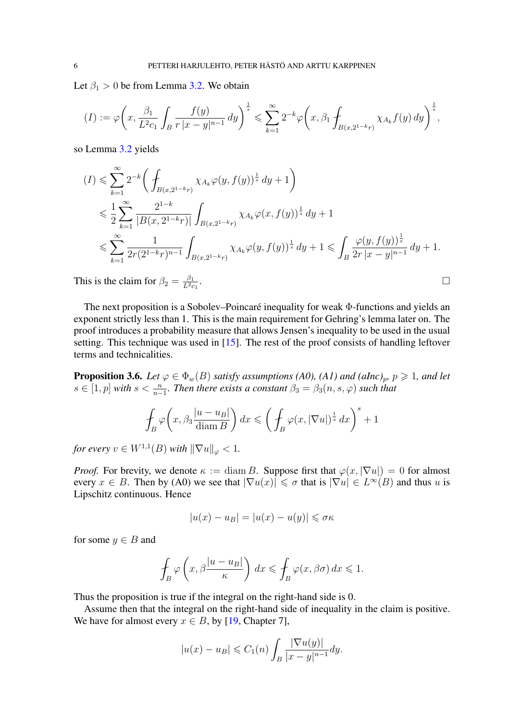Let  $\beta_1 > 0$  be from Lemma [3.2.](#page-3-3) We obtain

$$
(I) := \varphi \bigg( x, \frac{\beta_1}{L^2 c_1} \int_B \frac{f(y)}{r |x - y|^{n-1}} dy \bigg)^{\frac{1}{s}} \leq \sum_{k=1}^{\infty} 2^{-k} \varphi \bigg( x, \beta_1 \int_{B(x, 2^{1-k}r)} \chi_{A_k} f(y) dy \bigg)^{\frac{1}{s}},
$$

so Lemma [3.2](#page-3-3) yields

$$
(I) \leqslant \sum_{k=1}^{\infty} 2^{-k} \bigg( \int_{B(x, 2^{1-k}r)} \chi_{A_k} \varphi(y, f(y))^{\frac{1}{s}} dy + 1 \bigg)
$$
  
\n
$$
\leqslant \frac{1}{2} \sum_{k=1}^{\infty} \frac{2^{1-k}}{|B(x, 2^{1-k}r)|} \int_{B(x, 2^{1-k}r)} \chi_{A_k} \varphi(x, f(y))^{\frac{1}{s}} dy + 1
$$
  
\n
$$
\leqslant \sum_{k=1}^{\infty} \frac{1}{2r(2^{1-k}r)^{n-1}} \int_{B(x, 2^{1-k}r)} \chi_{A_k} \varphi(y, f(y))^{\frac{1}{s}} dy + 1 \leqslant \int_{B} \frac{\varphi(y, f(y))^{\frac{1}{s}}}{2r|x - y|^{n-1}} dy + 1.
$$
  
\nhis is the claim for  $\beta_2 = \frac{\beta_1}{L^2 r}$ .

This is the claim for  $\beta_2 = \frac{\beta_1}{L^2c}$  $L^2c_1$ 

The next proposition is a Sobolev–Poincaré inequality for weak Φ-functions and yields an exponent strictly less than 1. This is the main requirement for Gehring's lemma later on. The proof introduces a probability measure that allows Jensen's inequality to be used in the usual setting. This technique was used in [\[15\]](#page-9-24). The rest of the proof consists of handling leftover terms and technicalities.

<span id="page-5-0"></span>**Proposition 3.6.** *Let*  $\varphi \in \Phi_w(B)$  *satisfy assumptions (A0), (A1) and (aInc)<sub>p</sub>,*  $p \ge 1$ *, and let*  $s \in [1, p]$  with  $s < \frac{n}{n-1}$ . Then there exists a constant  $\beta_3 = \beta_3(n, s, \varphi)$  such that

$$
\int_B \varphi\bigg(x,\beta_3 \frac{|u - u_B|}{\text{diam }B}\bigg) dx \leqslant \bigg(\int_B \varphi(x,|\nabla u|)^{\frac{1}{s}} dx\bigg)^s + 1
$$

*for every*  $v \in W^{1,1}(B)$  *with*  $\|\nabla u\|_{\varphi} < 1$ *.* 

*Proof.* For brevity, we denote  $\kappa := \text{diam } B$ . Suppose first that  $\varphi(x, |\nabla u|) = 0$  for almost every  $x \in B$ . Then by (A0) we see that  $|\nabla u(x)| \le \sigma$  that is  $|\nabla u| \in L^{\infty}(B)$  and thus u is Lipschitz continuous. Hence

$$
|u(x) - u_B| = |u(x) - u(y)| \le \sigma \kappa
$$

for some  $y \in B$  and

$$
\int_B \varphi\left(x, \beta \frac{|u - u_B|}{\kappa}\right) dx \leqslant \int_B \varphi(x, \beta \sigma) dx \leqslant 1.
$$

Thus the proposition is true if the integral on the right-hand side is 0.

Assume then that the integral on the right-hand side of inequality in the claim is positive. We have for almost every  $x \in B$ , by [\[19,](#page-9-25) Chapter 7],

$$
|u(x) - u_B| \leq C_1(n) \int_B \frac{|\nabla u(y)|}{|x - y|^{n-1}} dy.
$$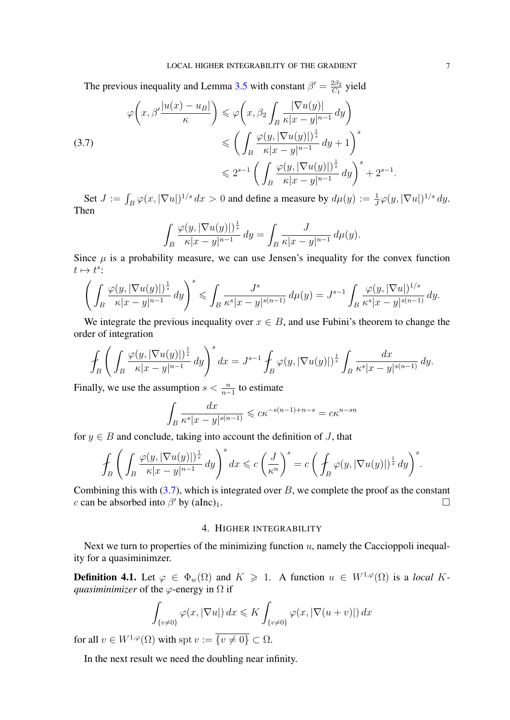The previous inequality and Lemma [3.5](#page-4-0) with constant  $\beta' = \frac{2\beta_2}{C_1}$  $rac{2\beta_2}{C_1}$  yield

<span id="page-6-0"></span>(3.7)  

$$
\varphi\left(x,\beta'\frac{|u(x)-u_B|}{\kappa}\right) \leq \varphi\left(x,\beta_2 \int_B \frac{|\nabla u(y)|}{\kappa|x-y|^{n-1}} dy\right)
$$

$$
\leq \left(\int_B \frac{\varphi(y,|\nabla u(y)|)^{\frac{1}{s}}}{\kappa|x-y|^{n-1}} dy + 1\right)^s
$$

$$
\leq 2^{s-1} \left(\int_B \frac{\varphi(y,|\nabla u(y)|)^{\frac{1}{s}}}{\kappa|x-y|^{n-1}} dy\right)^s + 2^{s-1}.
$$

Set  $J := \int_B \varphi(x, |\nabla u|)^{1/s} dx > 0$  and define a measure by  $d\mu(y) := \frac{1}{J}\varphi(y, |\nabla u|)^{1/s} dy$ . Then

$$
\int_B \frac{\varphi(y, |\nabla u(y)|)^{\frac{1}{s}}}{\kappa |x-y|^{n-1}} dy = \int_B \frac{J}{\kappa |x-y|^{n-1}} d\mu(y).
$$

Since  $\mu$  is a probability measure, we can use Jensen's inequality for the convex function  $t \mapsto t^s$ :

$$
\Bigg(\int_{B}\frac{\varphi(y,|\nabla u(y)|)^{\frac{1}{s}}}{\kappa|x-y|^{n-1}}\,dy\Bigg)^s\leqslant \int_{B}\frac{J^s}{\kappa^s|x-y|^{s(n-1)}}\,d\mu(y)=J^{s-1}\int_{B}\frac{\varphi(y,|\nabla u|)^{1/s}}{\kappa^s|x-y|^{s(n-1)}}\,dy.
$$

We integrate the previous inequality over  $x \in B$ , and use Fubini's theorem to change the order of integration

$$
\int_B \left( \int_B \frac{\varphi(y, |\nabla u(y)|)^{\frac{1}{s}}}{\kappa |x-y|^{n-1}} dy \right)^s dx = J^{s-1} \int_B \varphi(y, |\nabla u(y)|)^{\frac{1}{s}} \int_B \frac{dx}{\kappa^s |x-y|^{s(n-1)}} dy.
$$

Finally, we use the assumption  $s < \frac{n}{n-1}$  to estimate

$$
\int_{B} \frac{dx}{\kappa^{s} |x - y|^{s(n-1)}} \leqslant c \kappa^{-s(n-1) + n - s} = c \kappa^{n - sn}
$$

for  $y \in B$  and conclude, taking into account the definition of J, that

$$
\int_{B}\left(\int_{B}\frac{\varphi(y,|\nabla u(y)|)^{\frac{1}{s}}}{\kappa|x-y|^{n-1}}dy\right)^{s}dx\leqslant c\left(\frac{J}{\kappa^{n}}\right)^{s}=c\left(\int_{B}\varphi(y,|\nabla u(y)|)^{\frac{1}{s}}dy\right)^{s}.
$$

Combining this with  $(3.7)$ , which is integrated over B, we complete the proof as the constant c can be absorbed into  $\beta'$  by (aInc)<sub>1</sub>.

#### 4. HIGHER INTEGRABILITY

Next we turn to properties of the minimizing function  $u$ , namely the Caccioppoli inequality for a quasiminimzer.

**Definition 4.1.** Let  $\varphi \in \Phi_w(\Omega)$  and  $K \ge 1$ . A function  $u \in W^{1,\varphi}(\Omega)$  is a *local* K*quasiminimizer* of the  $\varphi$ -energy in  $\Omega$  if

$$
\int_{\{v\neq 0\}} \varphi(x, |\nabla u|) dx \leqslant K \int_{\{v\neq 0\}} \varphi(x, |\nabla (u+v)|) dx
$$

for all  $v \in W^{1,\varphi}(\Omega)$  with spt  $v := \overline{\{v \neq 0\}} \subset \Omega$ .

In the next result we need the doubling near infinity.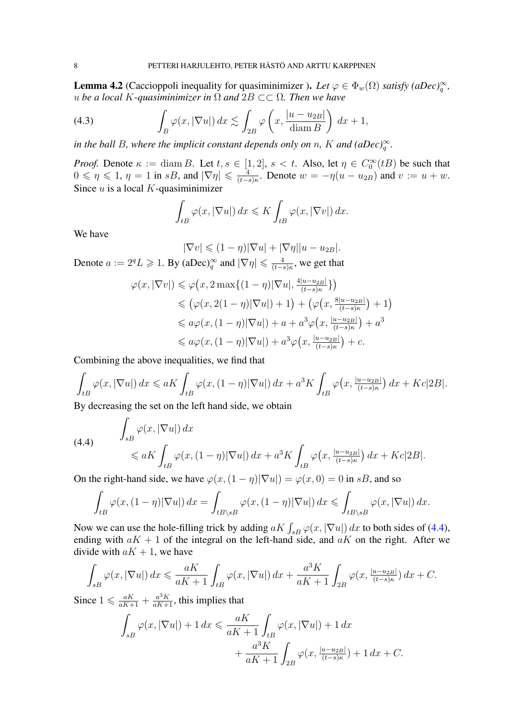<span id="page-7-0"></span>**Lemma 4.2** (Caccioppoli inequality for quasiminimizer ). Let  $\varphi \in \Phi_w(\Omega)$  *satisfy (aDec)*<sup> $\infty$ </sup><sub>q</sub>, u *be a local* K*-quasiminimizer in* Ω *and* 2B ⊂⊂ Ω*. Then we have*

(4.3) 
$$
\int_{B} \varphi(x, |\nabla u|) dx \lesssim \int_{2B} \varphi\left(x, \frac{|u - u_{2B}|}{\text{diam } B}\right) dx + 1,
$$

*in the ball B, where the implicit constant depends only on n, K and (aDec)*<sup> $\infty$ </sup><sub> $q$ </sub>.

*Proof.* Denote  $\kappa := \text{diam } B$ . Let  $t, s \in [1, 2]$ ,  $s < t$ . Also, let  $\eta \in C_0^{\infty}(tB)$  be such that  $0 \leq \eta \leq 1$ ,  $\eta = 1$  in sB, and  $|\nabla \eta| \leq \frac{4}{(t-1)^2}$  $\frac{4}{(t-s)\kappa}$ . Denote  $w = -\eta(u - u_{2B})$  and  $v := u + w$ . Since  $u$  is a local  $K$ -quasiminimizer

$$
\int_{tB} \varphi(x, |\nabla u|) dx \leqslant K \int_{tB} \varphi(x, |\nabla v|) dx.
$$

We have

$$
|\nabla v| \le (1 - \eta)|\nabla u| + |\nabla \eta||u - u_{2B}|.
$$
  
Denote  $a := 2^q L \ge 1$ . By  $(aDec)^{\infty}_{q}$  and  $|\nabla \eta| \le \frac{4}{(t-s)\kappa}$ , we get that

$$
\varphi(x, |\nabla v|) \leq \varphi\left(x, 2\max\{(1-\eta)|\nabla u|, \frac{4|u-u_{2B}|}{(t-s)\kappa}\}\right)
$$
  
\n
$$
\leq (\varphi(x, 2(1-\eta)|\nabla u|) + 1) + (\varphi\left(x, \frac{8|u-u_{2B}|}{(t-s)\kappa}\right) + 1)
$$
  
\n
$$
\leq a\varphi(x, (1-\eta)|\nabla u|) + a + a^3\varphi\left(x, \frac{|u-u_{2B}|}{(t-s)\kappa}\right) + a^3
$$
  
\n
$$
\leq a\varphi(x, (1-\eta)|\nabla u|) + a^3\varphi\left(x, \frac{|u-u_{2B}|}{(t-s)\kappa}\right) + c.
$$

Combining the above inequalities, we find that

$$
\int_{tB} \varphi(x, |\nabla u|) dx \leq aK \int_{tB} \varphi(x, (1-\eta)|\nabla u|) dx + a^3K \int_{tB} \varphi\left(x, \frac{|u - u_{2B}|}{(t - s)\kappa}\right) dx + Kc|2B|.
$$

By decreasing the set on the left hand side, we obtain

<span id="page-7-1"></span>(4.4) 
$$
\int_{sB} \varphi(x, |\nabla u|) dx \leq aK \int_{tB} \varphi(x, (1 - \eta) |\nabla u|) dx + a^3 K \int_{tB} \varphi(x, \frac{|u - u_{2B}|}{(t - s)\kappa}) dx + Kc|2B|.
$$

On the right-hand side, we have  $\varphi(x,(1-\eta)|\nabla u|) = \varphi(x,0) = 0$  in sB, and so

$$
\int_{tB} \varphi(x, (1-\eta)|\nabla u|) dx = \int_{tB \setminus sB} \varphi(x, (1-\eta)|\nabla u|) dx \leqslant \int_{tB \setminus sB} \varphi(x, |\nabla u|) dx.
$$

Now we can use the hole-filling trick by adding  $aK \int_{sB} \varphi(x, |\nabla u|) dx$  to both sides of [\(4.4\)](#page-7-1), ending with  $aK + 1$  of the integral on the left-hand side, and  $aK$  on the right. After we divide with  $aK + 1$ , we have

$$
\int_{sB} \varphi(x, |\nabla u|) dx \leqslant \frac{aK}{aK+1} \int_{tB} \varphi(x, |\nabla u|) dx + \frac{a^3K}{aK+1} \int_{2B} \varphi(x, \frac{|u-u_{2B}|}{(t-s)\kappa}) dx + C.
$$

Since  $1 \leq \frac{aK}{aK+1} + \frac{a^3K}{aK+1}$ , this implies that

$$
\int_{sB} \varphi(x, |\nabla u|) + 1 dx \le \frac{aK}{aK + 1} \int_{tB} \varphi(x, |\nabla u|) + 1 dx \n+ \frac{a^3 K}{aK + 1} \int_{2B} \varphi(x, \frac{|u - u_{2B}|}{(t - s)\kappa}) + 1 dx + C.
$$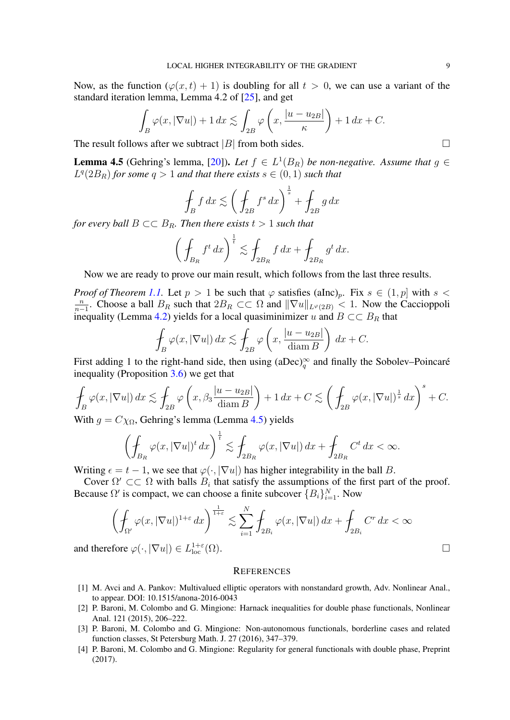Now, as the function  $(\varphi(x, t) + 1)$  is doubling for all  $t > 0$ , we can use a variant of the standard iteration lemma, Lemma 4.2 of [\[25\]](#page-9-10), and get

$$
\int_{B} \varphi(x, |\nabla u|) + 1 dx \lesssim \int_{2B} \varphi\left(x, \frac{|u - u_{2B}|}{\kappa}\right) + 1 dx + C.
$$

The result follows after we subtract |B| from both sides.  $\square$ 

<span id="page-8-4"></span>**Lemma 4.5** (Gehring's lemma, [\[20\]](#page-9-26)). Let  $f \in L^1(B_R)$  be non-negative. Assume that  $g \in$  $L^q(2B_R)$  *for some*  $q > 1$  *and that there exists*  $s \in (0, 1)$  *such that* 

$$
\oint_B f \, dx \lesssim \left( \oint_{2B} f^s \, dx \right)^{\frac{1}{s}} + \oint_{2B} g \, dx
$$

*for every ball*  $B \subset \subset B_R$ *. Then there exists*  $t > 1$  *such that* 

$$
\left(\int_{B_R} f^t dx\right)^{\frac{1}{t}} \lesssim \int_{2B_R} f dx + \int_{2B_R} g^t dx.
$$

Now we are ready to prove our main result, which follows from the last three results.

*Proof of Theorem [1.1.](#page-0-0)* Let  $p > 1$  be such that  $\varphi$  satisfies (aInc)<sub>p</sub>. Fix  $s \in (1, p]$  with  $s <$ n  $\frac{n}{n-1}$ . Choose a ball  $B_R$  such that  $2B_R \subset\subset \Omega$  and  $||\nabla u||_{L^\varphi(2B)} < 1$ . Now the Caccioppoli inequality (Lemma [4.2\)](#page-7-0) yields for a local quasiminimizer u and  $B \subset\subset B_R$  that

$$
\oint_B \varphi(x, |\nabla u|) dx \lesssim \oint_{2B} \varphi\left(x, \frac{|u - u_{2B}|}{\text{diam } B}\right) dx + C.
$$

First adding 1 to the right-hand side, then using  $(aDec)_{q}^{\infty}$  and finally the Sobolev–Poincaré inequality (Proposition [3.6\)](#page-5-0) we get that

$$
\oint_B \varphi(x, |\nabla u|) dx \lesssim \oint_{2B} \varphi\left(x, \beta_3 \frac{|u - u_{2B}|}{\operatorname{diam} B}\right) + 1 dx + C \lesssim \left(\oint_{2B} \varphi(x, |\nabla u|)^{\frac{1}{s}} dx\right)^s + C.
$$

With  $q = C\chi_{\Omega}$ , Gehring's lemma (Lemma [4.5\)](#page-8-4) yields

$$
\left(\oint_{B_R} \varphi(x, |\nabla u|)^t dx\right)^{\frac{1}{t}} \lesssim \int_{2B_R} \varphi(x, |\nabla u|) dx + \int_{2B_R} C^t dx < \infty.
$$

Writing  $\epsilon = t - 1$ , we see that  $\varphi(\cdot, |\nabla u|)$  has higher integrability in the ball B.

Cover  $\Omega' \subset\subset \Omega$  with balls  $B_i$  that satisfy the assumptions of the first part of the proof. Because  $\Omega'$  is compact, we can choose a finite subcover  ${B_i}_{i=1}^N$ . Now

$$
\left(\int_{\Omega'} \varphi(x, |\nabla u|)^{1+\varepsilon} dx\right)^{\frac{1}{1+\varepsilon}} \lesssim \sum_{i=1}^N \int_{2B_i} \varphi(x, |\nabla u|) dx + \int_{2B_i} C^r dx < \infty
$$
  
ofore  $\varphi(\cdot, |\nabla u|) \in L_{\text{loc}}^{1+\varepsilon}(\Omega)$ .

and therefore  $\varphi(\cdot, |\nabla u|) \in L^{1+\varepsilon}_{loc}$ 

#### **REFERENCES**

- <span id="page-8-0"></span>[1] M. Avci and A. Pankov: Multivalued elliptic operators with nonstandard growth, Adv. Nonlinear Anal., to appear. DOI: 10.1515/anona-2016-0043
- <span id="page-8-2"></span>[2] P. Baroni, M. Colombo and G. Mingione: Harnack inequalities for double phase functionals, Nonlinear Anal. 121 (2015), 206–222.
- <span id="page-8-1"></span>[3] P. Baroni, M. Colombo and G. Mingione: Non-autonomous functionals, borderline cases and related function classes, St Petersburg Math. J. 27 (2016), 347–379.
- <span id="page-8-3"></span>[4] P. Baroni, M. Colombo and G. Mingione: Regularity for general functionals with double phase, Preprint (2017).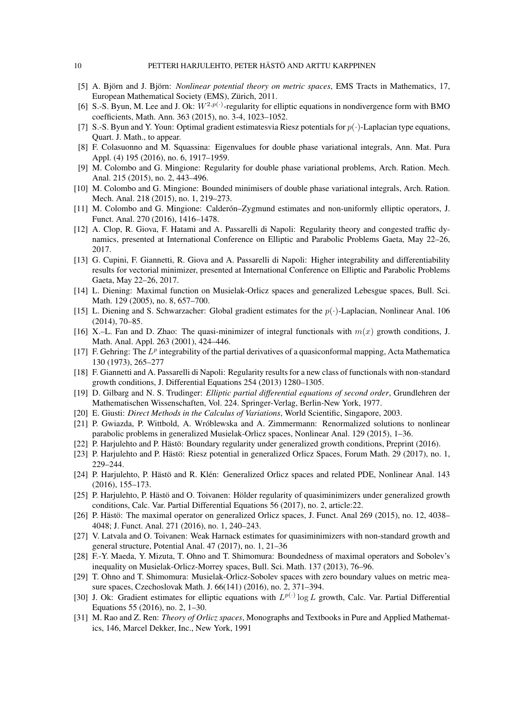- <span id="page-9-16"></span>[5] A. Björn and J. Björn: *Nonlinear potential theory on metric spaces*, EMS Tracts in Mathematics, 17, European Mathematical Society (EMS), Zürich, 2011.
- <span id="page-9-0"></span>[6] S.-S. Byun, M. Lee and J. Ok:  $W^{2,p(\cdot)}$ -regularity for elliptic equations in nondivergence form with BMO coefficients, Math. Ann. 363 (2015), no. 3-4, 1023–1052.
- <span id="page-9-1"></span>[7] S.-S. Byun and Y. Youn: Optimal gradient estimatesvia Riesz potentials for  $p(\cdot)$ -Laplacian type equations, Quart. J. Math., to appear.
- <span id="page-9-5"></span>[8] F. Colasuonno and M. Squassina: Eigenvalues for double phase variational integrals, Ann. Mat. Pura Appl. (4) 195 (2016), no. 6, 1917–1959.
- <span id="page-9-15"></span>[9] M. Colombo and G. Mingione: Regularity for double phase variational problems, Arch. Ration. Mech. Anal. 215 (2015), no. 2, 443–496.
- <span id="page-9-6"></span>[10] M. Colombo and G. Mingione: Bounded minimisers of double phase variational integrals, Arch. Ration. Mech. Anal. 218 (2015), no. 1, 219–273.
- <span id="page-9-7"></span>[11] M. Colombo and G. Mingione: Calderón–Zygmund estimates and non-uniformly elliptic operators, J. Funct. Anal. 270 (2016), 1416–1478.
- <span id="page-9-18"></span>[12] A. Clop, R. Giova, F. Hatami and A. Passarelli di Napoli: Regularity theory and congested traffic dynamics, presented at International Conference on Elliptic and Parabolic Problems Gaeta, May 22–26, 2017.
- <span id="page-9-19"></span>[13] G. Cupini, F. Giannetti, R. Giova and A. Passarelli di Napoli: Higher integrability and differentiability results for vectorial minimizer, presented at International Conference on Elliptic and Parabolic Problems Gaeta, May 22–26, 2017.
- <span id="page-9-8"></span>[14] L. Diening: Maximal function on Musielak-Orlicz spaces and generalized Lebesgue spaces, Bull. Sci. Math. 129 (2005), no. 8, 657–700.
- <span id="page-9-24"></span>[15] L. Diening and S. Schwarzacher: Global gradient estimates for the  $p(\cdot)$ -Laplacian, Nonlinear Anal. 106 (2014), 70–85.
- <span id="page-9-14"></span>[16] X.–L. Fan and D. Zhao: The quasi-minimizer of integral functionals with  $m(x)$  growth conditions, J. Math. Anal. Appl. 263 (2001), 424–446.
- <span id="page-9-13"></span>[17] F. Gehring: The  $L^p$  integrability of the partial derivatives of a quasiconformal mapping, Acta Mathematica 130 (1973), 265–277
- <span id="page-9-2"></span>[18] F. Giannetti and A. Passarelli di Napoli: Regularity results for a new class of functionals with non-standard growth conditions, J. Differential Equations 254 (2013) 1280–1305.
- <span id="page-9-25"></span>[19] D. Gilbarg and N. S. Trudinger: *Elliptic partial differential equations of second order*, Grundlehren der Mathematischen Wissenschaften, Vol. 224. Springer-Verlag, Berlin-New York, 1977.
- <span id="page-9-26"></span>[20] E. Giusti: *Direct Methods in the Calculus of Variations*, World Scientific, Singapore, 2003.
- <span id="page-9-9"></span>[21] P. Gwiazda, P. Wittbold, A. Wróblewska and A. Zimmermann: Renormalized solutions to nonlinear parabolic problems in generalized Musielak-Orlicz spaces, Nonlinear Anal. 129 (2015), 1–36.
- <span id="page-9-20"></span>[22] P. Harjulehto and P. Hästö: Boundary regularity under generalized growth conditions, Preprint (2016).
- <span id="page-9-21"></span>[23] P. Harjulehto and P. Hästö: Riesz potential in generalized Orlicz Spaces, Forum Math. 29 (2017), no. 1, 229–244.
- <span id="page-9-22"></span>[24] P. Harjulehto, P. Hästö and R. Klén: Generalized Orlicz spaces and related PDE, Nonlinear Anal. 143 (2016), 155–173.
- <span id="page-9-10"></span>[25] P. Harjulehto, P. Hästö and O. Toivanen: Hölder regularity of quasiminimizers under generalized growth conditions, Calc. Var. Partial Differential Equations 56 (2017), no. 2, article:22.
- <span id="page-9-23"></span>[26] P. Hästö: The maximal operator on generalized Orlicz spaces, J. Funct. Anal 269 (2015), no. 12, 4038– 4048; J. Funct. Anal. 271 (2016), no. 1, 240–243.
- <span id="page-9-3"></span>[27] V. Latvala and O. Toivanen: Weak Harnack estimates for quasiminimizers with non-standard growth and general structure, Potential Anal. 47 (2017), no. 1, 21–36
- <span id="page-9-11"></span>[28] F.-Y. Maeda, Y. Mizuta, T. Ohno and T. Shimomura: Boundedness of maximal operators and Sobolev's inequality on Musielak-Orlicz-Morrey spaces, Bull. Sci. Math. 137 (2013), 76–96.
- <span id="page-9-12"></span>[29] T. Ohno and T. Shimomura: Musielak-Orlicz-Sobolev spaces with zero boundary values on metric measure spaces, Czechoslovak Math. J. 66(141) (2016), no. 2, 371–394.
- <span id="page-9-4"></span>[30] J. Ok: Gradient estimates for elliptic equations with  $L^{p(\cdot)}$  log L growth, Calc. Var. Partial Differential Equations 55 (2016), no. 2, 1–30.
- <span id="page-9-17"></span>[31] M. Rao and Z. Ren: *Theory of Orlicz spaces*, Monographs and Textbooks in Pure and Applied Mathematics, 146, Marcel Dekker, Inc., New York, 1991